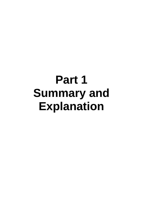# **Part 1 Summary and Explanation**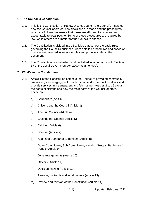### **1 The Council's Constitution**

- 1.1. This is the Constitution of Harlow District Council (the Council). It sets out how the Council operates, how decisions are made and the procedures which are followed to ensure that these are efficient, transparent and accountable to local people. Some of these procedures are required by law, while others are a matter for the Council to choose.
- 1.2. The Constitution is divided into 15 articles that set out the basic rules governing the Council's business. More detailed procedures and codes of practice are provided in separate rules and protocols later in the document.
- 1.3. The Constitution is established and published in accordance with Section 37 of the Local Government Act 2000 (as amended).

### **2 What's in the Constitution**

- 2.1. Article 1 of the Constitution commits the Council to providing community leadership, encouraging public participation and to conduct its affairs and provide services in a transparent and fair manner. Articles 2 to 15 explain the rights of citizens and how the main parts of the Council operate. These are:
	- a) Councillors (Article 2)
	- b) Citizens and the Council (Article 3)
	- c) The Full Council (Article 4)
	- d) Chairing the Council (Article 5)
	- e) Cabinet (Article 6)
	- f) Scrutiny (Article 7)
	- g) Audit and Standards Committee (Article 8)
	- h) Other Committees, Sub Committees, Working Groups, Parties and Panels (Article 9)
	- i) Joint arrangements (Article 10)
	- j) Officers (Article 11)
	- k) Decision making (Article 12)
	- l) Finance, contracts and legal matters (Article 13)
	- m) Review and revision of the Constitution (Article 14)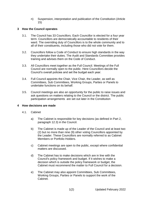n) Suspension, interpretation and publication of the Constitution (Article 15)

### **3 How the Council operates**

- 3.1. The Council has 33 Councillors. Each Councillor is elected for a four year term. Councillors are democratically accountable to residents of their ward. The overriding duty of Councillors is to the whole community and to all of their constituents, including those who did not vote for them.
- 3.2. Councillors follow a Code of Conduct to ensure high standards in the way they undertake their duties. The Audit and Standards Committee provides training and advises them on the Code of Conduct.
- 3.3. All Councillors meet together as the Full Council. Meetings of the Full Council are normally open to the public. Here Councillors decide the Council's overall policies and set the budget each year.
- 3.4. Full Council appoints the Chair, Vice Chair, the Leader, as well as Committees, Sub Committees, Working Groups, Parties or Panels to undertake functions on its behalf.
- 3.5. Council meetings are also an opportunity for the public to raise issues and ask questions on matters relating to the Council or the district. The public participation arrangements are set out later in the Constitution

### **4 How decisions are made**

- 4.1. Cabinet
	- a) The Cabinet is responsible for key decisions (as defined in Part 2, paragraph 12.3) in the Council.
	- b) The Cabinet is made up of the Leader of the Council and at least two (2) but no more than nine (9) other voting Councillors appointed by the Leader. These Councillors are normally referred to as Cabinet Members or Portfolio Holders.
	- c) Cabinet meetings are open to the public, except where confidential matters are discussed.
	- d) The Cabinet has to make decisions which are in line with the Council's policy framework and budget. If it wishes to make a decision which is outside the policy framework or budget, the Cabinet must recommend the matter to Full Council for a decision.
	- e) The Cabinet may also appoint Committees, Sub Committees, Working Groups, Parties or Panels to support the work of the Cabinet.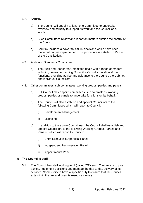- 4.2. Scrutiny
	- a) The Council will appoint at least one Committee to undertake overview and scrutiny to support its work and the Council as a whole.
	- b) Such Committees review and report on matters outside the control of the Council.
	- c) Scrutiny includes a power to 'call-in' decisions which have been made but not yet implemented. This procedure is detailed in Part 4 of the Constitution.
- 4.3. Audit and Standards Committee
	- a) The Audit and Standards Committee deals with a range of matters including issues concerning Councillors' conduct, audit and risk functions, providing advice and guidance to the Council, the Cabinet and individual Councillors.
- 4.4. Other committees, sub committees, working groups, parties and panels
	- a) Full Council may appoint committees, sub committees, working groups, parties or panels to undertake functions on its behalf.
	- b) The Council will also establish and appoint Councillors to the following Committees which will report to Council:
		- i) Development Management
		- ii) Licensing
	- c) In addition to the above Committees, the Council shall establish and appoint Councillors to the following Working Groups, Parties and Panels , which will report to Council:
		- i) Chief Executive's Appraisal Panel
		- ii) Independent Remuneration Panel
		- iii) Appointments Panel

#### **5 The Council's staff**

5.1. The Council has staff working for it (called 'Officers'). Their role is to give advice, implement decisions and manage the day-to-day delivery of its services. Some Officers have a specific duty to ensure that the Council acts within the law and uses its resources wisely.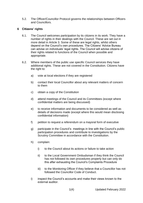5.2. The Officer/Councillor Protocol governs the relationships between Officers and Councillors.

## **6 Citizens' rights**

- 6.1. The Council welcomes participation by its citizens in its work. They have a number of rights in their dealings with the Council. These are set out in more detail in Article 3. Some of these are legal rights, whilst others depend on the Council's own procedures. The Citizens' Advice Bureau can advise on individuals' legal rights. The Council will advise citizens of their rights related to functions of the Council when possible and appropriate.
- 6.2. Where members of the public use specific Council services they have additional rights. These are not covered in the Constitution. Citizens have the right to:
	- a) vote at local elections if they are registered
	- b) contact their local Councillor about any relevant matters of concern to them
	- c) obtain a copy of the Constitution
	- d) attend meetings of the Council and its Committees (except where confidential matters are being discussed)
	- e) to receive information and documents to be considered as well as details of decisions made (except where this would mean disclosing confidential information)
	- f) petition to request a referendum on a mayoral form of executive
	- g) participate in the Council's meetings in line with the Council's public participation procedures and contribute to investigations by the Scrutiny Committee in accordance with the Constitution.
	- h) complain:
		- i) to the Council about its actions or failure to take action
		- ii) to the Local Government Ombudsman if they think the Council has not followed its own procedures properly but can only do this after exhausting the Council's Complaints Procedure
		- iii) to the Monitoring Officer if they believe that a Councillor has not followed the Councillor Code of Conduct.
	- i) inspect the Council's accounts and make their views known to the external auditor.